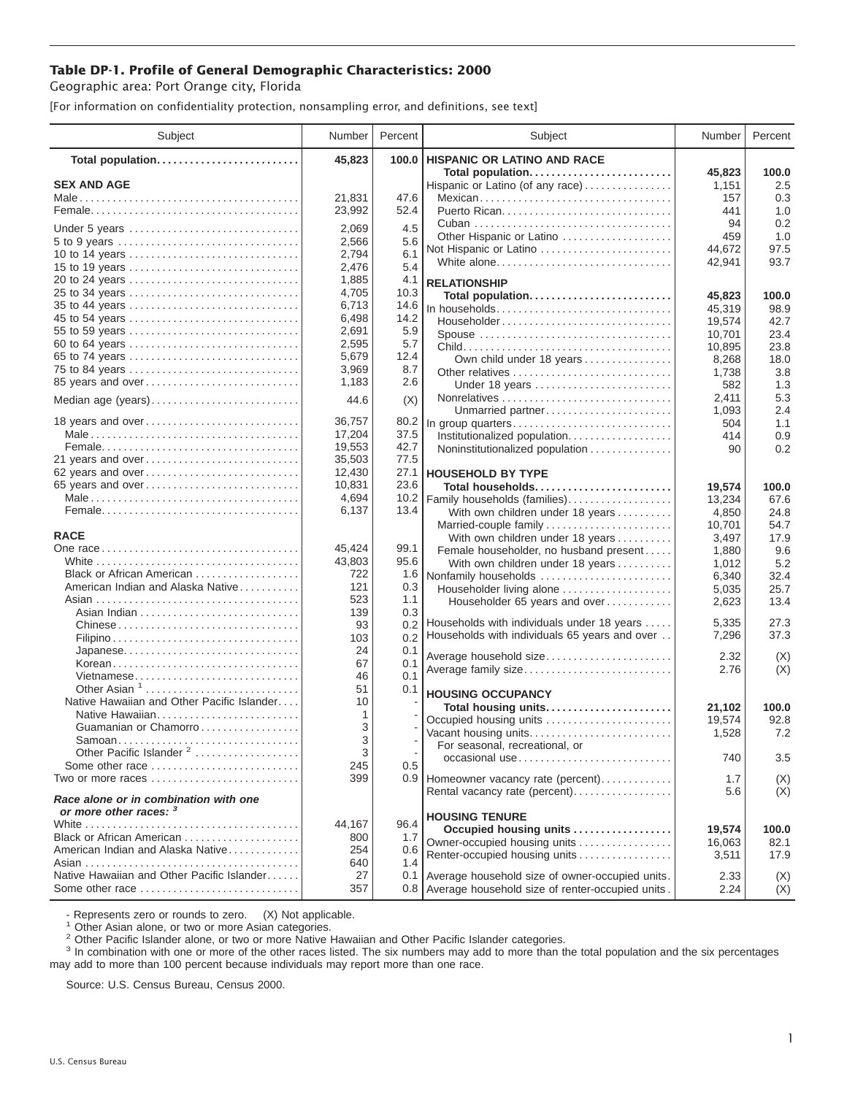## **Table DP-1. Profile of General Demographic Characteristics: 2000**

Geographic area: Port Orange city, Florida

[For information on confidentiality protection, nonsampling error, and definitions, see text]

| Subject                                                            | Number           | Percent      | Subject                                                                                     | Number           | Percent       |
|--------------------------------------------------------------------|------------------|--------------|---------------------------------------------------------------------------------------------|------------------|---------------|
| Total population                                                   | 45,823           | 100.0        | <b>HISPANIC OR LATINO AND RACE</b>                                                          |                  |               |
| <b>SEX AND AGE</b>                                                 |                  |              | Total population                                                                            | 45,823           | 100.0<br>2.5  |
|                                                                    | 21,831           | 47.6         | Hispanic or Latino (of any race)<br>Mexican                                                 | 1,151<br>157     | 0.3           |
|                                                                    | 23,992           | 52.4         |                                                                                             | 441              | 1.0           |
|                                                                    |                  |              |                                                                                             | 94               | 0.2           |
| Under 5 years                                                      | 2,069            | 4.5          | Other Hispanic or Latino                                                                    | 459              | 1.0           |
|                                                                    | 2,566            | 5.6<br>6.1   | Not Hispanic or Latino                                                                      | 44,672           | 97.5          |
| 10 to 14 years<br>15 to 19 years                                   | 2,794<br>2,476   | 5.4          | White alone                                                                                 | 42,941           | 93.7          |
|                                                                    | 1,885            | 4.1          | <b>RELATIONSHIP</b>                                                                         |                  |               |
| 25 to 34 years                                                     | 4,705            | 10.3         |                                                                                             |                  | 100.0         |
| 35 to 44 years                                                     | 6,713            | 14.6         | Total population<br>In households                                                           | 45,823<br>45,319 | 98.9          |
| 45 to 54 years                                                     | 6,498            | 14.2         | Householder                                                                                 | 19,574           | 42.7          |
| 55 to 59 years                                                     | 2,691            | 5.9          | Spouse                                                                                      | 10,701           | 23.4          |
| 60 to 64 years                                                     | 2,595            | 5.7          |                                                                                             | 10,895           | 23.8          |
| 65 to 74 years                                                     | 5,679            | 12.4         | Own child under 18 years                                                                    | 8,268            | 18.0          |
| 75 to 84 years                                                     | 3,969            | 8.7          | Other relatives                                                                             | 1,738            | 3.8           |
| 85 years and over                                                  | 1,183            | 2.6          | Under 18 years                                                                              | 582              | 1.3           |
| Median age (years)                                                 | 44.6             | (X)          |                                                                                             | 2,411            | 5.3           |
|                                                                    |                  |              | Unmarried partner                                                                           | 1,093            | 2.4           |
| 18 years and over                                                  | 36,757           | 80.2         | In group quarters                                                                           | 504              | 1.1           |
|                                                                    | 17,204           | 37.5         | Institutionalized population                                                                | 414              | 0.9           |
|                                                                    | 19,553           | 42.7         | Noninstitutionalized population                                                             | 90               | 0.2           |
| 21 years and over                                                  | 35,503<br>12,430 | 77.5<br>27.1 |                                                                                             |                  |               |
| 62 years and over<br>65 years and over                             | 10.831           | 23.6         | <b>HOUSEHOLD BY TYPE</b>                                                                    |                  |               |
|                                                                    | 4,694            | 10.2         | Total households<br>Family households (families)                                            | 19,574           | 100.0<br>67.6 |
|                                                                    | 6,137            | 13.4         | With own children under 18 years                                                            | 13,234<br>4,850  | 24.8          |
|                                                                    |                  |              | Married-couple family                                                                       | 10,701           | 54.7          |
| <b>RACE</b>                                                        |                  |              | With own children under 18 years                                                            | 3,497            | 17.9          |
|                                                                    | 45,424           | 99.1         | Female householder, no husband present                                                      | 1,880            | 9.6           |
|                                                                    | 43,803           | 95.6         | With own children under 18 years                                                            | 1,012            | 5.2           |
| Black or African American                                          | 722              | 1.6          | Nonfamily households                                                                        | 6,340            | 32.4          |
| American Indian and Alaska Native                                  | 121              | 0.3          | Householder living alone                                                                    | 5,035            | 25.7          |
|                                                                    | 523              | 1.1          | Householder 65 years and over                                                               | 2,623            | 13.4          |
|                                                                    | 139              | 0.3          |                                                                                             |                  |               |
| Chinese                                                            | 93               | 0.2          | Households with individuals under 18 years<br>Households with individuals 65 years and over | 5,335<br>7,296   | 27.3<br>37.3  |
|                                                                    | 103              | 0.2          |                                                                                             |                  |               |
| Japanese                                                           | 24               | 0.1          | Average household size                                                                      | 2.32             | (X)           |
| Korean<br>Vietnamese                                               | 67<br>46         | 0.1<br>0.1   | Average family size                                                                         | 2.76             | (X)           |
| Other Asian $1, \ldots, \ldots, \ldots, \ldots, \ldots, \ldots$    | 51               | 0.1          |                                                                                             |                  |               |
| Native Hawaiian and Other Pacific Islander                         | 10               |              | <b>HOUSING OCCUPANCY</b>                                                                    |                  |               |
| Native Hawaiian                                                    | 1                |              | Total housing units                                                                         | 21,102           | 100.0         |
| Guamanian or Chamorro                                              | 3                |              | Occupied housing units                                                                      | 19,574           | 92.8          |
| Samoan                                                             | 3                |              | Vacant housing units<br>For seasonal, recreational, or                                      | 1,528            | 7.2           |
| Other Pacific Islander <sup>2</sup>                                | 3                |              | $occasional use \dots  \dots  \dots $                                                       | 740              | 3.5           |
| Some other race $\ldots \ldots \ldots \ldots \ldots \ldots \ldots$ | 245              | 0.5          |                                                                                             |                  |               |
| Two or more races                                                  | 399              |              | 0.9 Homeowner vacancy rate (percent)                                                        | 1.7              | (X)           |
| Race alone or in combination with one<br>or more other races: 3    |                  |              | Rental vacancy rate (percent)                                                               | 5.6              | (X)           |
|                                                                    | 44.167           | 96.4         | <b>HOUSING TENURE</b>                                                                       |                  |               |
| Black or African American                                          | 800              | 1.7          | Occupied housing units                                                                      | 19.574           | 100.0         |
| American Indian and Alaska Native                                  | 254              | 0.6          | Owner-occupied housing units<br>Renter-occupied housing units                               | 16,063           | 82.1          |
|                                                                    | 640              | 1.4          |                                                                                             | 3,511            | 17.9          |
| Native Hawaiian and Other Pacific Islander                         | 27               | 0.1          | Average household size of owner-occupied units.                                             | 2.33             | (X)           |
| Some other race                                                    | 357              |              | 0.8 Average household size of renter-occupied units.                                        | 2.24             | (X)           |

- Represents zero or rounds to zero. (X) Not applicable.<br><sup>1</sup> Other Asian alone, or two or more Asian categories.

<sup>2</sup> Other Pacific Islander alone, or two or more Native Hawaiian and Other Pacific Islander categories.<br><sup>3</sup> In combination with one or more of the other races listed. The six numbers may add to more than the total populati may add to more than 100 percent because individuals may report more than one race.

Source: U.S. Census Bureau, Census 2000.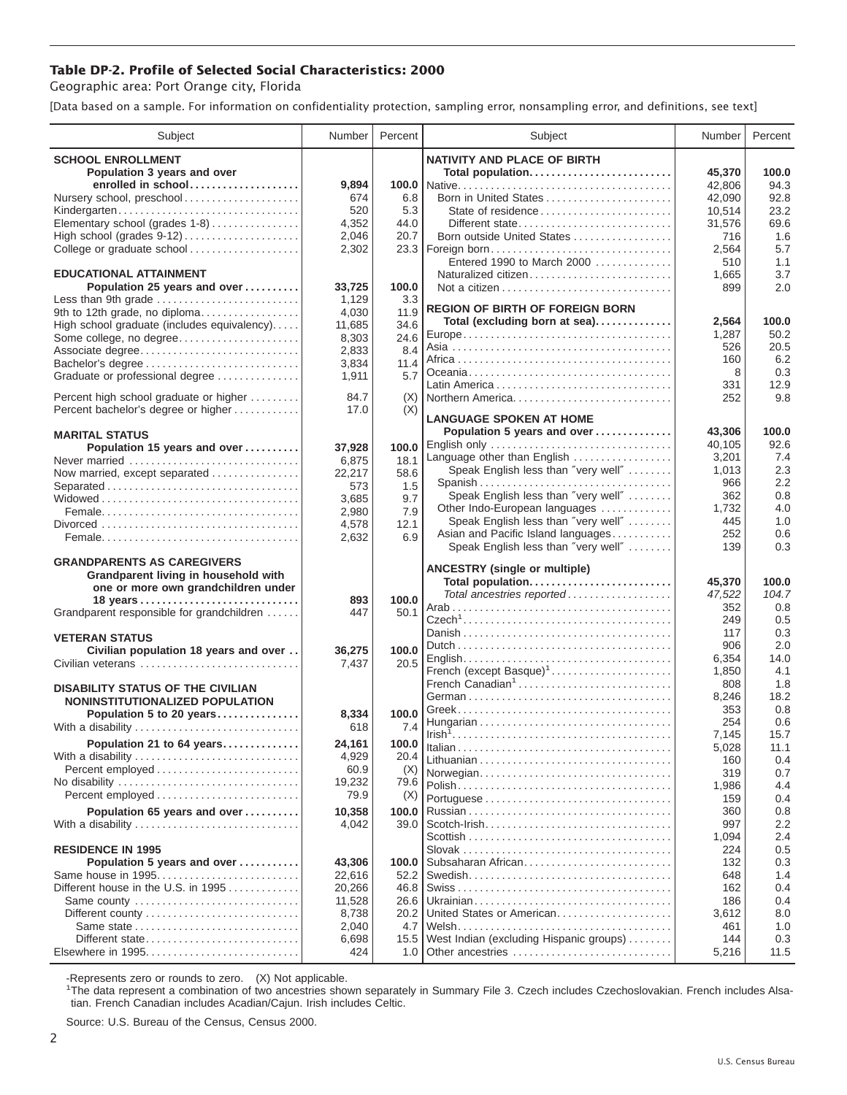## **Table DP-2. Profile of Selected Social Characteristics: 2000**

Geographic area: Port Orange city, Florida

[Data based on a sample. For information on confidentiality protection, sampling error, nonsampling error, and definitions, see text]

| <b>SCHOOL ENROLLMENT</b><br><b>NATIVITY AND PLACE OF BIRTH</b><br>Population 3 years and over<br>Total population<br>45,370<br>100.0<br>enrolled in school<br>9,894<br>94.3<br>42,806<br>Nursery school, preschool<br>674<br>6.8<br>92.8<br>42,090<br>520<br>5.3<br>State of residence<br>23.2<br>Kindergarten<br>10,514<br>Elementary school (grades 1-8)<br>4,352<br>44.0<br>69.6<br>Different state<br>31,576<br>High school (grades 9-12)<br>2,046<br>20.7<br>Born outside United States<br>1.6<br>716<br>College or graduate school<br>5.7<br>2,302<br>23.3<br>Foreign born<br>2,564<br>Entered 1990 to March 2000<br>1.1<br>510<br><b>EDUCATIONAL ATTAINMENT</b><br>Naturalized citizen<br>3.7<br>1,665<br>100.0<br>Population 25 years and over<br>33,725<br>2.0<br>899<br>Less than 9th grade<br>1,129<br>3.3<br><b>REGION OF BIRTH OF FOREIGN BORN</b><br>9th to 12th grade, no diploma<br>4,030<br>11.9<br>Total (excluding born at sea)<br>2.564<br>100.0<br>High school graduate (includes equivalency)<br>34.6<br>11,685<br>50.2<br>1,287<br>Some college, no degree<br>8,303<br>24.6<br>20.5<br>526<br>2,833<br>8.4<br>Associate degree<br>6.2<br>160<br>Bachelor's degree<br>3,834<br>11.4<br>0.3<br>8<br>5.7<br>1,911<br>Graduate or professional degree<br>12.9<br>331<br>84.7<br>Percent high school graduate or higher<br>(X)<br>Northern America<br>9.8<br>252<br>(X)<br>Percent bachelor's degree or higher<br>17.0<br><b>LANGUAGE SPOKEN AT HOME</b><br>Population 5 years and over<br>43,306<br>100.0<br><b>MARITAL STATUS</b><br>English only<br>92.6<br>40,105<br>Population 15 years and over<br>100.0<br>37,928<br>Language other than English<br>7.4<br>3,201<br>6,875<br>18.1<br>Never married<br>Speak English less than "very well"<br>2.3<br>1,013<br>22,217<br>58.6<br>Now married, except separated<br>2.2<br>Spanish<br>966<br>Separated<br>573<br>1.5<br>Speak English less than "very well"<br>0.8<br>362<br>3,685<br>9.7<br>Other Indo-European languages<br>4.0<br>1,732<br>7.9<br>2,980<br>Speak English less than "very well"<br>1.0<br>445<br>12.1<br>4,578<br>Asian and Pacific Island languages<br>252<br>0.6<br>6.9<br>2,632<br>Speak English less than "very well"<br>0.3<br>139<br><b>GRANDPARENTS AS CAREGIVERS</b><br><b>ANCESTRY (single or multiple)</b><br>Grandparent living in household with<br>Total population<br>45,370<br>100.0<br>one or more own grandchildren under<br>Total ancestries reported<br>104.7<br>47,522<br>893<br>100.0<br>18 years<br>0.8<br>352<br>Grandparent responsible for grandchildren<br>447<br>50.1<br>0.5<br>249<br>0.3<br>117<br><b>VETERAN STATUS</b><br>906<br>2.0<br>100.0<br>Civilian population 18 years and over<br>36,275<br>14.0<br>6,354<br>20.5<br>7,437<br>Civilian veterans<br>French (except Basque) <sup>1</sup><br>4.1<br>1,850<br>French Canadian <sup>1</sup><br>1.8<br>808<br><b>DISABILITY STATUS OF THE CIVILIAN</b><br>18.2<br>8,246<br>NONINSTITUTIONALIZED POPULATION<br>0.8<br>353<br>Population 5 to 20 years<br>8,334<br>100.0<br>0.6<br>254<br>618<br>7.4<br>With a disability<br>7,145<br>15.7<br>Population 21 to 64 years<br>24,161<br>100.0<br>5,028<br>11.1<br>4,929<br>20.4<br>With a disability<br>0.4<br>160<br>Percent employed<br>60.9<br>(X)<br>Norwegian<br>319<br>0.7<br>19,232<br>79.6<br>4.4<br>1,986<br>Percent employed<br>79.9<br>(X)<br>159<br>0.4<br>Population 65 years and over<br>10,358<br>100.0<br>360<br>0.8<br>2.2<br>997<br>4,042<br>With a disability<br>39.0<br>2.4<br>1,094<br><b>RESIDENCE IN 1995</b><br>0.5<br>224<br>Subsaharan African<br>Population 5 years and over<br>43,306<br>0.3<br>100.0<br>132<br>Same house in 1995<br>22,616<br>52.2<br>648<br>1.4<br>Different house in the U.S. in 1995<br>20,266<br>162<br>0.4<br>46.8<br>Same county<br>11,528<br>26.6<br>186<br>0.4<br>United States or American<br>8,738<br>8.0<br>20.2<br>3,612<br>Same state<br>2,040<br>4.7<br>1.0<br>461<br>West Indian (excluding Hispanic groups)<br>Different state<br>0.3<br>6,698<br>15.5<br>144<br>Elsewhere in 1995<br>424<br>11.5<br>1.0<br>Other ancestries<br>5,216 | Subject | Number | Percent | Subject | Number | Percent |
|------------------------------------------------------------------------------------------------------------------------------------------------------------------------------------------------------------------------------------------------------------------------------------------------------------------------------------------------------------------------------------------------------------------------------------------------------------------------------------------------------------------------------------------------------------------------------------------------------------------------------------------------------------------------------------------------------------------------------------------------------------------------------------------------------------------------------------------------------------------------------------------------------------------------------------------------------------------------------------------------------------------------------------------------------------------------------------------------------------------------------------------------------------------------------------------------------------------------------------------------------------------------------------------------------------------------------------------------------------------------------------------------------------------------------------------------------------------------------------------------------------------------------------------------------------------------------------------------------------------------------------------------------------------------------------------------------------------------------------------------------------------------------------------------------------------------------------------------------------------------------------------------------------------------------------------------------------------------------------------------------------------------------------------------------------------------------------------------------------------------------------------------------------------------------------------------------------------------------------------------------------------------------------------------------------------------------------------------------------------------------------------------------------------------------------------------------------------------------------------------------------------------------------------------------------------------------------------------------------------------------------------------------------------------------------------------------------------------------------------------------------------------------------------------------------------------------------------------------------------------------------------------------------------------------------------------------------------------------------------------------------------------------------------------------------------------------------------------------------------------------------------------------------------------------------------------------------------------------------------------------------------------------------------------------------------------------------------------------------------------------------------------------------------------------------------------------------------------------------------------------------------------------------------------------------------------------------------------------------------------------------------------------------------------------------------------------------------------------------------------------------------------------------------------------------------------------------------------------------------------------------------------------------------------------------------------------------------------------------------------------------------------------------------------------------------------------------------------------------------------|---------|--------|---------|---------|--------|---------|
|                                                                                                                                                                                                                                                                                                                                                                                                                                                                                                                                                                                                                                                                                                                                                                                                                                                                                                                                                                                                                                                                                                                                                                                                                                                                                                                                                                                                                                                                                                                                                                                                                                                                                                                                                                                                                                                                                                                                                                                                                                                                                                                                                                                                                                                                                                                                                                                                                                                                                                                                                                                                                                                                                                                                                                                                                                                                                                                                                                                                                                                                                                                                                                                                                                                                                                                                                                                                                                                                                                                                                                                                                                                                                                                                                                                                                                                                                                                                                                                                                                                                                                                        |         |        |         |         |        |         |
|                                                                                                                                                                                                                                                                                                                                                                                                                                                                                                                                                                                                                                                                                                                                                                                                                                                                                                                                                                                                                                                                                                                                                                                                                                                                                                                                                                                                                                                                                                                                                                                                                                                                                                                                                                                                                                                                                                                                                                                                                                                                                                                                                                                                                                                                                                                                                                                                                                                                                                                                                                                                                                                                                                                                                                                                                                                                                                                                                                                                                                                                                                                                                                                                                                                                                                                                                                                                                                                                                                                                                                                                                                                                                                                                                                                                                                                                                                                                                                                                                                                                                                                        |         |        |         |         |        |         |
|                                                                                                                                                                                                                                                                                                                                                                                                                                                                                                                                                                                                                                                                                                                                                                                                                                                                                                                                                                                                                                                                                                                                                                                                                                                                                                                                                                                                                                                                                                                                                                                                                                                                                                                                                                                                                                                                                                                                                                                                                                                                                                                                                                                                                                                                                                                                                                                                                                                                                                                                                                                                                                                                                                                                                                                                                                                                                                                                                                                                                                                                                                                                                                                                                                                                                                                                                                                                                                                                                                                                                                                                                                                                                                                                                                                                                                                                                                                                                                                                                                                                                                                        |         |        |         |         |        |         |
|                                                                                                                                                                                                                                                                                                                                                                                                                                                                                                                                                                                                                                                                                                                                                                                                                                                                                                                                                                                                                                                                                                                                                                                                                                                                                                                                                                                                                                                                                                                                                                                                                                                                                                                                                                                                                                                                                                                                                                                                                                                                                                                                                                                                                                                                                                                                                                                                                                                                                                                                                                                                                                                                                                                                                                                                                                                                                                                                                                                                                                                                                                                                                                                                                                                                                                                                                                                                                                                                                                                                                                                                                                                                                                                                                                                                                                                                                                                                                                                                                                                                                                                        |         |        |         |         |        |         |
|                                                                                                                                                                                                                                                                                                                                                                                                                                                                                                                                                                                                                                                                                                                                                                                                                                                                                                                                                                                                                                                                                                                                                                                                                                                                                                                                                                                                                                                                                                                                                                                                                                                                                                                                                                                                                                                                                                                                                                                                                                                                                                                                                                                                                                                                                                                                                                                                                                                                                                                                                                                                                                                                                                                                                                                                                                                                                                                                                                                                                                                                                                                                                                                                                                                                                                                                                                                                                                                                                                                                                                                                                                                                                                                                                                                                                                                                                                                                                                                                                                                                                                                        |         |        |         |         |        |         |
|                                                                                                                                                                                                                                                                                                                                                                                                                                                                                                                                                                                                                                                                                                                                                                                                                                                                                                                                                                                                                                                                                                                                                                                                                                                                                                                                                                                                                                                                                                                                                                                                                                                                                                                                                                                                                                                                                                                                                                                                                                                                                                                                                                                                                                                                                                                                                                                                                                                                                                                                                                                                                                                                                                                                                                                                                                                                                                                                                                                                                                                                                                                                                                                                                                                                                                                                                                                                                                                                                                                                                                                                                                                                                                                                                                                                                                                                                                                                                                                                                                                                                                                        |         |        |         |         |        |         |
|                                                                                                                                                                                                                                                                                                                                                                                                                                                                                                                                                                                                                                                                                                                                                                                                                                                                                                                                                                                                                                                                                                                                                                                                                                                                                                                                                                                                                                                                                                                                                                                                                                                                                                                                                                                                                                                                                                                                                                                                                                                                                                                                                                                                                                                                                                                                                                                                                                                                                                                                                                                                                                                                                                                                                                                                                                                                                                                                                                                                                                                                                                                                                                                                                                                                                                                                                                                                                                                                                                                                                                                                                                                                                                                                                                                                                                                                                                                                                                                                                                                                                                                        |         |        |         |         |        |         |
|                                                                                                                                                                                                                                                                                                                                                                                                                                                                                                                                                                                                                                                                                                                                                                                                                                                                                                                                                                                                                                                                                                                                                                                                                                                                                                                                                                                                                                                                                                                                                                                                                                                                                                                                                                                                                                                                                                                                                                                                                                                                                                                                                                                                                                                                                                                                                                                                                                                                                                                                                                                                                                                                                                                                                                                                                                                                                                                                                                                                                                                                                                                                                                                                                                                                                                                                                                                                                                                                                                                                                                                                                                                                                                                                                                                                                                                                                                                                                                                                                                                                                                                        |         |        |         |         |        |         |
|                                                                                                                                                                                                                                                                                                                                                                                                                                                                                                                                                                                                                                                                                                                                                                                                                                                                                                                                                                                                                                                                                                                                                                                                                                                                                                                                                                                                                                                                                                                                                                                                                                                                                                                                                                                                                                                                                                                                                                                                                                                                                                                                                                                                                                                                                                                                                                                                                                                                                                                                                                                                                                                                                                                                                                                                                                                                                                                                                                                                                                                                                                                                                                                                                                                                                                                                                                                                                                                                                                                                                                                                                                                                                                                                                                                                                                                                                                                                                                                                                                                                                                                        |         |        |         |         |        |         |
|                                                                                                                                                                                                                                                                                                                                                                                                                                                                                                                                                                                                                                                                                                                                                                                                                                                                                                                                                                                                                                                                                                                                                                                                                                                                                                                                                                                                                                                                                                                                                                                                                                                                                                                                                                                                                                                                                                                                                                                                                                                                                                                                                                                                                                                                                                                                                                                                                                                                                                                                                                                                                                                                                                                                                                                                                                                                                                                                                                                                                                                                                                                                                                                                                                                                                                                                                                                                                                                                                                                                                                                                                                                                                                                                                                                                                                                                                                                                                                                                                                                                                                                        |         |        |         |         |        |         |
|                                                                                                                                                                                                                                                                                                                                                                                                                                                                                                                                                                                                                                                                                                                                                                                                                                                                                                                                                                                                                                                                                                                                                                                                                                                                                                                                                                                                                                                                                                                                                                                                                                                                                                                                                                                                                                                                                                                                                                                                                                                                                                                                                                                                                                                                                                                                                                                                                                                                                                                                                                                                                                                                                                                                                                                                                                                                                                                                                                                                                                                                                                                                                                                                                                                                                                                                                                                                                                                                                                                                                                                                                                                                                                                                                                                                                                                                                                                                                                                                                                                                                                                        |         |        |         |         |        |         |
|                                                                                                                                                                                                                                                                                                                                                                                                                                                                                                                                                                                                                                                                                                                                                                                                                                                                                                                                                                                                                                                                                                                                                                                                                                                                                                                                                                                                                                                                                                                                                                                                                                                                                                                                                                                                                                                                                                                                                                                                                                                                                                                                                                                                                                                                                                                                                                                                                                                                                                                                                                                                                                                                                                                                                                                                                                                                                                                                                                                                                                                                                                                                                                                                                                                                                                                                                                                                                                                                                                                                                                                                                                                                                                                                                                                                                                                                                                                                                                                                                                                                                                                        |         |        |         |         |        |         |
|                                                                                                                                                                                                                                                                                                                                                                                                                                                                                                                                                                                                                                                                                                                                                                                                                                                                                                                                                                                                                                                                                                                                                                                                                                                                                                                                                                                                                                                                                                                                                                                                                                                                                                                                                                                                                                                                                                                                                                                                                                                                                                                                                                                                                                                                                                                                                                                                                                                                                                                                                                                                                                                                                                                                                                                                                                                                                                                                                                                                                                                                                                                                                                                                                                                                                                                                                                                                                                                                                                                                                                                                                                                                                                                                                                                                                                                                                                                                                                                                                                                                                                                        |         |        |         |         |        |         |
|                                                                                                                                                                                                                                                                                                                                                                                                                                                                                                                                                                                                                                                                                                                                                                                                                                                                                                                                                                                                                                                                                                                                                                                                                                                                                                                                                                                                                                                                                                                                                                                                                                                                                                                                                                                                                                                                                                                                                                                                                                                                                                                                                                                                                                                                                                                                                                                                                                                                                                                                                                                                                                                                                                                                                                                                                                                                                                                                                                                                                                                                                                                                                                                                                                                                                                                                                                                                                                                                                                                                                                                                                                                                                                                                                                                                                                                                                                                                                                                                                                                                                                                        |         |        |         |         |        |         |
|                                                                                                                                                                                                                                                                                                                                                                                                                                                                                                                                                                                                                                                                                                                                                                                                                                                                                                                                                                                                                                                                                                                                                                                                                                                                                                                                                                                                                                                                                                                                                                                                                                                                                                                                                                                                                                                                                                                                                                                                                                                                                                                                                                                                                                                                                                                                                                                                                                                                                                                                                                                                                                                                                                                                                                                                                                                                                                                                                                                                                                                                                                                                                                                                                                                                                                                                                                                                                                                                                                                                                                                                                                                                                                                                                                                                                                                                                                                                                                                                                                                                                                                        |         |        |         |         |        |         |
|                                                                                                                                                                                                                                                                                                                                                                                                                                                                                                                                                                                                                                                                                                                                                                                                                                                                                                                                                                                                                                                                                                                                                                                                                                                                                                                                                                                                                                                                                                                                                                                                                                                                                                                                                                                                                                                                                                                                                                                                                                                                                                                                                                                                                                                                                                                                                                                                                                                                                                                                                                                                                                                                                                                                                                                                                                                                                                                                                                                                                                                                                                                                                                                                                                                                                                                                                                                                                                                                                                                                                                                                                                                                                                                                                                                                                                                                                                                                                                                                                                                                                                                        |         |        |         |         |        |         |
|                                                                                                                                                                                                                                                                                                                                                                                                                                                                                                                                                                                                                                                                                                                                                                                                                                                                                                                                                                                                                                                                                                                                                                                                                                                                                                                                                                                                                                                                                                                                                                                                                                                                                                                                                                                                                                                                                                                                                                                                                                                                                                                                                                                                                                                                                                                                                                                                                                                                                                                                                                                                                                                                                                                                                                                                                                                                                                                                                                                                                                                                                                                                                                                                                                                                                                                                                                                                                                                                                                                                                                                                                                                                                                                                                                                                                                                                                                                                                                                                                                                                                                                        |         |        |         |         |        |         |
|                                                                                                                                                                                                                                                                                                                                                                                                                                                                                                                                                                                                                                                                                                                                                                                                                                                                                                                                                                                                                                                                                                                                                                                                                                                                                                                                                                                                                                                                                                                                                                                                                                                                                                                                                                                                                                                                                                                                                                                                                                                                                                                                                                                                                                                                                                                                                                                                                                                                                                                                                                                                                                                                                                                                                                                                                                                                                                                                                                                                                                                                                                                                                                                                                                                                                                                                                                                                                                                                                                                                                                                                                                                                                                                                                                                                                                                                                                                                                                                                                                                                                                                        |         |        |         |         |        |         |
|                                                                                                                                                                                                                                                                                                                                                                                                                                                                                                                                                                                                                                                                                                                                                                                                                                                                                                                                                                                                                                                                                                                                                                                                                                                                                                                                                                                                                                                                                                                                                                                                                                                                                                                                                                                                                                                                                                                                                                                                                                                                                                                                                                                                                                                                                                                                                                                                                                                                                                                                                                                                                                                                                                                                                                                                                                                                                                                                                                                                                                                                                                                                                                                                                                                                                                                                                                                                                                                                                                                                                                                                                                                                                                                                                                                                                                                                                                                                                                                                                                                                                                                        |         |        |         |         |        |         |
|                                                                                                                                                                                                                                                                                                                                                                                                                                                                                                                                                                                                                                                                                                                                                                                                                                                                                                                                                                                                                                                                                                                                                                                                                                                                                                                                                                                                                                                                                                                                                                                                                                                                                                                                                                                                                                                                                                                                                                                                                                                                                                                                                                                                                                                                                                                                                                                                                                                                                                                                                                                                                                                                                                                                                                                                                                                                                                                                                                                                                                                                                                                                                                                                                                                                                                                                                                                                                                                                                                                                                                                                                                                                                                                                                                                                                                                                                                                                                                                                                                                                                                                        |         |        |         |         |        |         |
|                                                                                                                                                                                                                                                                                                                                                                                                                                                                                                                                                                                                                                                                                                                                                                                                                                                                                                                                                                                                                                                                                                                                                                                                                                                                                                                                                                                                                                                                                                                                                                                                                                                                                                                                                                                                                                                                                                                                                                                                                                                                                                                                                                                                                                                                                                                                                                                                                                                                                                                                                                                                                                                                                                                                                                                                                                                                                                                                                                                                                                                                                                                                                                                                                                                                                                                                                                                                                                                                                                                                                                                                                                                                                                                                                                                                                                                                                                                                                                                                                                                                                                                        |         |        |         |         |        |         |
|                                                                                                                                                                                                                                                                                                                                                                                                                                                                                                                                                                                                                                                                                                                                                                                                                                                                                                                                                                                                                                                                                                                                                                                                                                                                                                                                                                                                                                                                                                                                                                                                                                                                                                                                                                                                                                                                                                                                                                                                                                                                                                                                                                                                                                                                                                                                                                                                                                                                                                                                                                                                                                                                                                                                                                                                                                                                                                                                                                                                                                                                                                                                                                                                                                                                                                                                                                                                                                                                                                                                                                                                                                                                                                                                                                                                                                                                                                                                                                                                                                                                                                                        |         |        |         |         |        |         |
|                                                                                                                                                                                                                                                                                                                                                                                                                                                                                                                                                                                                                                                                                                                                                                                                                                                                                                                                                                                                                                                                                                                                                                                                                                                                                                                                                                                                                                                                                                                                                                                                                                                                                                                                                                                                                                                                                                                                                                                                                                                                                                                                                                                                                                                                                                                                                                                                                                                                                                                                                                                                                                                                                                                                                                                                                                                                                                                                                                                                                                                                                                                                                                                                                                                                                                                                                                                                                                                                                                                                                                                                                                                                                                                                                                                                                                                                                                                                                                                                                                                                                                                        |         |        |         |         |        |         |
|                                                                                                                                                                                                                                                                                                                                                                                                                                                                                                                                                                                                                                                                                                                                                                                                                                                                                                                                                                                                                                                                                                                                                                                                                                                                                                                                                                                                                                                                                                                                                                                                                                                                                                                                                                                                                                                                                                                                                                                                                                                                                                                                                                                                                                                                                                                                                                                                                                                                                                                                                                                                                                                                                                                                                                                                                                                                                                                                                                                                                                                                                                                                                                                                                                                                                                                                                                                                                                                                                                                                                                                                                                                                                                                                                                                                                                                                                                                                                                                                                                                                                                                        |         |        |         |         |        |         |
|                                                                                                                                                                                                                                                                                                                                                                                                                                                                                                                                                                                                                                                                                                                                                                                                                                                                                                                                                                                                                                                                                                                                                                                                                                                                                                                                                                                                                                                                                                                                                                                                                                                                                                                                                                                                                                                                                                                                                                                                                                                                                                                                                                                                                                                                                                                                                                                                                                                                                                                                                                                                                                                                                                                                                                                                                                                                                                                                                                                                                                                                                                                                                                                                                                                                                                                                                                                                                                                                                                                                                                                                                                                                                                                                                                                                                                                                                                                                                                                                                                                                                                                        |         |        |         |         |        |         |
|                                                                                                                                                                                                                                                                                                                                                                                                                                                                                                                                                                                                                                                                                                                                                                                                                                                                                                                                                                                                                                                                                                                                                                                                                                                                                                                                                                                                                                                                                                                                                                                                                                                                                                                                                                                                                                                                                                                                                                                                                                                                                                                                                                                                                                                                                                                                                                                                                                                                                                                                                                                                                                                                                                                                                                                                                                                                                                                                                                                                                                                                                                                                                                                                                                                                                                                                                                                                                                                                                                                                                                                                                                                                                                                                                                                                                                                                                                                                                                                                                                                                                                                        |         |        |         |         |        |         |
|                                                                                                                                                                                                                                                                                                                                                                                                                                                                                                                                                                                                                                                                                                                                                                                                                                                                                                                                                                                                                                                                                                                                                                                                                                                                                                                                                                                                                                                                                                                                                                                                                                                                                                                                                                                                                                                                                                                                                                                                                                                                                                                                                                                                                                                                                                                                                                                                                                                                                                                                                                                                                                                                                                                                                                                                                                                                                                                                                                                                                                                                                                                                                                                                                                                                                                                                                                                                                                                                                                                                                                                                                                                                                                                                                                                                                                                                                                                                                                                                                                                                                                                        |         |        |         |         |        |         |
|                                                                                                                                                                                                                                                                                                                                                                                                                                                                                                                                                                                                                                                                                                                                                                                                                                                                                                                                                                                                                                                                                                                                                                                                                                                                                                                                                                                                                                                                                                                                                                                                                                                                                                                                                                                                                                                                                                                                                                                                                                                                                                                                                                                                                                                                                                                                                                                                                                                                                                                                                                                                                                                                                                                                                                                                                                                                                                                                                                                                                                                                                                                                                                                                                                                                                                                                                                                                                                                                                                                                                                                                                                                                                                                                                                                                                                                                                                                                                                                                                                                                                                                        |         |        |         |         |        |         |
|                                                                                                                                                                                                                                                                                                                                                                                                                                                                                                                                                                                                                                                                                                                                                                                                                                                                                                                                                                                                                                                                                                                                                                                                                                                                                                                                                                                                                                                                                                                                                                                                                                                                                                                                                                                                                                                                                                                                                                                                                                                                                                                                                                                                                                                                                                                                                                                                                                                                                                                                                                                                                                                                                                                                                                                                                                                                                                                                                                                                                                                                                                                                                                                                                                                                                                                                                                                                                                                                                                                                                                                                                                                                                                                                                                                                                                                                                                                                                                                                                                                                                                                        |         |        |         |         |        |         |
|                                                                                                                                                                                                                                                                                                                                                                                                                                                                                                                                                                                                                                                                                                                                                                                                                                                                                                                                                                                                                                                                                                                                                                                                                                                                                                                                                                                                                                                                                                                                                                                                                                                                                                                                                                                                                                                                                                                                                                                                                                                                                                                                                                                                                                                                                                                                                                                                                                                                                                                                                                                                                                                                                                                                                                                                                                                                                                                                                                                                                                                                                                                                                                                                                                                                                                                                                                                                                                                                                                                                                                                                                                                                                                                                                                                                                                                                                                                                                                                                                                                                                                                        |         |        |         |         |        |         |
|                                                                                                                                                                                                                                                                                                                                                                                                                                                                                                                                                                                                                                                                                                                                                                                                                                                                                                                                                                                                                                                                                                                                                                                                                                                                                                                                                                                                                                                                                                                                                                                                                                                                                                                                                                                                                                                                                                                                                                                                                                                                                                                                                                                                                                                                                                                                                                                                                                                                                                                                                                                                                                                                                                                                                                                                                                                                                                                                                                                                                                                                                                                                                                                                                                                                                                                                                                                                                                                                                                                                                                                                                                                                                                                                                                                                                                                                                                                                                                                                                                                                                                                        |         |        |         |         |        |         |
|                                                                                                                                                                                                                                                                                                                                                                                                                                                                                                                                                                                                                                                                                                                                                                                                                                                                                                                                                                                                                                                                                                                                                                                                                                                                                                                                                                                                                                                                                                                                                                                                                                                                                                                                                                                                                                                                                                                                                                                                                                                                                                                                                                                                                                                                                                                                                                                                                                                                                                                                                                                                                                                                                                                                                                                                                                                                                                                                                                                                                                                                                                                                                                                                                                                                                                                                                                                                                                                                                                                                                                                                                                                                                                                                                                                                                                                                                                                                                                                                                                                                                                                        |         |        |         |         |        |         |
|                                                                                                                                                                                                                                                                                                                                                                                                                                                                                                                                                                                                                                                                                                                                                                                                                                                                                                                                                                                                                                                                                                                                                                                                                                                                                                                                                                                                                                                                                                                                                                                                                                                                                                                                                                                                                                                                                                                                                                                                                                                                                                                                                                                                                                                                                                                                                                                                                                                                                                                                                                                                                                                                                                                                                                                                                                                                                                                                                                                                                                                                                                                                                                                                                                                                                                                                                                                                                                                                                                                                                                                                                                                                                                                                                                                                                                                                                                                                                                                                                                                                                                                        |         |        |         |         |        |         |
|                                                                                                                                                                                                                                                                                                                                                                                                                                                                                                                                                                                                                                                                                                                                                                                                                                                                                                                                                                                                                                                                                                                                                                                                                                                                                                                                                                                                                                                                                                                                                                                                                                                                                                                                                                                                                                                                                                                                                                                                                                                                                                                                                                                                                                                                                                                                                                                                                                                                                                                                                                                                                                                                                                                                                                                                                                                                                                                                                                                                                                                                                                                                                                                                                                                                                                                                                                                                                                                                                                                                                                                                                                                                                                                                                                                                                                                                                                                                                                                                                                                                                                                        |         |        |         |         |        |         |
|                                                                                                                                                                                                                                                                                                                                                                                                                                                                                                                                                                                                                                                                                                                                                                                                                                                                                                                                                                                                                                                                                                                                                                                                                                                                                                                                                                                                                                                                                                                                                                                                                                                                                                                                                                                                                                                                                                                                                                                                                                                                                                                                                                                                                                                                                                                                                                                                                                                                                                                                                                                                                                                                                                                                                                                                                                                                                                                                                                                                                                                                                                                                                                                                                                                                                                                                                                                                                                                                                                                                                                                                                                                                                                                                                                                                                                                                                                                                                                                                                                                                                                                        |         |        |         |         |        |         |
|                                                                                                                                                                                                                                                                                                                                                                                                                                                                                                                                                                                                                                                                                                                                                                                                                                                                                                                                                                                                                                                                                                                                                                                                                                                                                                                                                                                                                                                                                                                                                                                                                                                                                                                                                                                                                                                                                                                                                                                                                                                                                                                                                                                                                                                                                                                                                                                                                                                                                                                                                                                                                                                                                                                                                                                                                                                                                                                                                                                                                                                                                                                                                                                                                                                                                                                                                                                                                                                                                                                                                                                                                                                                                                                                                                                                                                                                                                                                                                                                                                                                                                                        |         |        |         |         |        |         |
|                                                                                                                                                                                                                                                                                                                                                                                                                                                                                                                                                                                                                                                                                                                                                                                                                                                                                                                                                                                                                                                                                                                                                                                                                                                                                                                                                                                                                                                                                                                                                                                                                                                                                                                                                                                                                                                                                                                                                                                                                                                                                                                                                                                                                                                                                                                                                                                                                                                                                                                                                                                                                                                                                                                                                                                                                                                                                                                                                                                                                                                                                                                                                                                                                                                                                                                                                                                                                                                                                                                                                                                                                                                                                                                                                                                                                                                                                                                                                                                                                                                                                                                        |         |        |         |         |        |         |
|                                                                                                                                                                                                                                                                                                                                                                                                                                                                                                                                                                                                                                                                                                                                                                                                                                                                                                                                                                                                                                                                                                                                                                                                                                                                                                                                                                                                                                                                                                                                                                                                                                                                                                                                                                                                                                                                                                                                                                                                                                                                                                                                                                                                                                                                                                                                                                                                                                                                                                                                                                                                                                                                                                                                                                                                                                                                                                                                                                                                                                                                                                                                                                                                                                                                                                                                                                                                                                                                                                                                                                                                                                                                                                                                                                                                                                                                                                                                                                                                                                                                                                                        |         |        |         |         |        |         |
|                                                                                                                                                                                                                                                                                                                                                                                                                                                                                                                                                                                                                                                                                                                                                                                                                                                                                                                                                                                                                                                                                                                                                                                                                                                                                                                                                                                                                                                                                                                                                                                                                                                                                                                                                                                                                                                                                                                                                                                                                                                                                                                                                                                                                                                                                                                                                                                                                                                                                                                                                                                                                                                                                                                                                                                                                                                                                                                                                                                                                                                                                                                                                                                                                                                                                                                                                                                                                                                                                                                                                                                                                                                                                                                                                                                                                                                                                                                                                                                                                                                                                                                        |         |        |         |         |        |         |
|                                                                                                                                                                                                                                                                                                                                                                                                                                                                                                                                                                                                                                                                                                                                                                                                                                                                                                                                                                                                                                                                                                                                                                                                                                                                                                                                                                                                                                                                                                                                                                                                                                                                                                                                                                                                                                                                                                                                                                                                                                                                                                                                                                                                                                                                                                                                                                                                                                                                                                                                                                                                                                                                                                                                                                                                                                                                                                                                                                                                                                                                                                                                                                                                                                                                                                                                                                                                                                                                                                                                                                                                                                                                                                                                                                                                                                                                                                                                                                                                                                                                                                                        |         |        |         |         |        |         |
|                                                                                                                                                                                                                                                                                                                                                                                                                                                                                                                                                                                                                                                                                                                                                                                                                                                                                                                                                                                                                                                                                                                                                                                                                                                                                                                                                                                                                                                                                                                                                                                                                                                                                                                                                                                                                                                                                                                                                                                                                                                                                                                                                                                                                                                                                                                                                                                                                                                                                                                                                                                                                                                                                                                                                                                                                                                                                                                                                                                                                                                                                                                                                                                                                                                                                                                                                                                                                                                                                                                                                                                                                                                                                                                                                                                                                                                                                                                                                                                                                                                                                                                        |         |        |         |         |        |         |
|                                                                                                                                                                                                                                                                                                                                                                                                                                                                                                                                                                                                                                                                                                                                                                                                                                                                                                                                                                                                                                                                                                                                                                                                                                                                                                                                                                                                                                                                                                                                                                                                                                                                                                                                                                                                                                                                                                                                                                                                                                                                                                                                                                                                                                                                                                                                                                                                                                                                                                                                                                                                                                                                                                                                                                                                                                                                                                                                                                                                                                                                                                                                                                                                                                                                                                                                                                                                                                                                                                                                                                                                                                                                                                                                                                                                                                                                                                                                                                                                                                                                                                                        |         |        |         |         |        |         |
|                                                                                                                                                                                                                                                                                                                                                                                                                                                                                                                                                                                                                                                                                                                                                                                                                                                                                                                                                                                                                                                                                                                                                                                                                                                                                                                                                                                                                                                                                                                                                                                                                                                                                                                                                                                                                                                                                                                                                                                                                                                                                                                                                                                                                                                                                                                                                                                                                                                                                                                                                                                                                                                                                                                                                                                                                                                                                                                                                                                                                                                                                                                                                                                                                                                                                                                                                                                                                                                                                                                                                                                                                                                                                                                                                                                                                                                                                                                                                                                                                                                                                                                        |         |        |         |         |        |         |
|                                                                                                                                                                                                                                                                                                                                                                                                                                                                                                                                                                                                                                                                                                                                                                                                                                                                                                                                                                                                                                                                                                                                                                                                                                                                                                                                                                                                                                                                                                                                                                                                                                                                                                                                                                                                                                                                                                                                                                                                                                                                                                                                                                                                                                                                                                                                                                                                                                                                                                                                                                                                                                                                                                                                                                                                                                                                                                                                                                                                                                                                                                                                                                                                                                                                                                                                                                                                                                                                                                                                                                                                                                                                                                                                                                                                                                                                                                                                                                                                                                                                                                                        |         |        |         |         |        |         |
|                                                                                                                                                                                                                                                                                                                                                                                                                                                                                                                                                                                                                                                                                                                                                                                                                                                                                                                                                                                                                                                                                                                                                                                                                                                                                                                                                                                                                                                                                                                                                                                                                                                                                                                                                                                                                                                                                                                                                                                                                                                                                                                                                                                                                                                                                                                                                                                                                                                                                                                                                                                                                                                                                                                                                                                                                                                                                                                                                                                                                                                                                                                                                                                                                                                                                                                                                                                                                                                                                                                                                                                                                                                                                                                                                                                                                                                                                                                                                                                                                                                                                                                        |         |        |         |         |        |         |
|                                                                                                                                                                                                                                                                                                                                                                                                                                                                                                                                                                                                                                                                                                                                                                                                                                                                                                                                                                                                                                                                                                                                                                                                                                                                                                                                                                                                                                                                                                                                                                                                                                                                                                                                                                                                                                                                                                                                                                                                                                                                                                                                                                                                                                                                                                                                                                                                                                                                                                                                                                                                                                                                                                                                                                                                                                                                                                                                                                                                                                                                                                                                                                                                                                                                                                                                                                                                                                                                                                                                                                                                                                                                                                                                                                                                                                                                                                                                                                                                                                                                                                                        |         |        |         |         |        |         |
|                                                                                                                                                                                                                                                                                                                                                                                                                                                                                                                                                                                                                                                                                                                                                                                                                                                                                                                                                                                                                                                                                                                                                                                                                                                                                                                                                                                                                                                                                                                                                                                                                                                                                                                                                                                                                                                                                                                                                                                                                                                                                                                                                                                                                                                                                                                                                                                                                                                                                                                                                                                                                                                                                                                                                                                                                                                                                                                                                                                                                                                                                                                                                                                                                                                                                                                                                                                                                                                                                                                                                                                                                                                                                                                                                                                                                                                                                                                                                                                                                                                                                                                        |         |        |         |         |        |         |
|                                                                                                                                                                                                                                                                                                                                                                                                                                                                                                                                                                                                                                                                                                                                                                                                                                                                                                                                                                                                                                                                                                                                                                                                                                                                                                                                                                                                                                                                                                                                                                                                                                                                                                                                                                                                                                                                                                                                                                                                                                                                                                                                                                                                                                                                                                                                                                                                                                                                                                                                                                                                                                                                                                                                                                                                                                                                                                                                                                                                                                                                                                                                                                                                                                                                                                                                                                                                                                                                                                                                                                                                                                                                                                                                                                                                                                                                                                                                                                                                                                                                                                                        |         |        |         |         |        |         |
|                                                                                                                                                                                                                                                                                                                                                                                                                                                                                                                                                                                                                                                                                                                                                                                                                                                                                                                                                                                                                                                                                                                                                                                                                                                                                                                                                                                                                                                                                                                                                                                                                                                                                                                                                                                                                                                                                                                                                                                                                                                                                                                                                                                                                                                                                                                                                                                                                                                                                                                                                                                                                                                                                                                                                                                                                                                                                                                                                                                                                                                                                                                                                                                                                                                                                                                                                                                                                                                                                                                                                                                                                                                                                                                                                                                                                                                                                                                                                                                                                                                                                                                        |         |        |         |         |        |         |
|                                                                                                                                                                                                                                                                                                                                                                                                                                                                                                                                                                                                                                                                                                                                                                                                                                                                                                                                                                                                                                                                                                                                                                                                                                                                                                                                                                                                                                                                                                                                                                                                                                                                                                                                                                                                                                                                                                                                                                                                                                                                                                                                                                                                                                                                                                                                                                                                                                                                                                                                                                                                                                                                                                                                                                                                                                                                                                                                                                                                                                                                                                                                                                                                                                                                                                                                                                                                                                                                                                                                                                                                                                                                                                                                                                                                                                                                                                                                                                                                                                                                                                                        |         |        |         |         |        |         |
|                                                                                                                                                                                                                                                                                                                                                                                                                                                                                                                                                                                                                                                                                                                                                                                                                                                                                                                                                                                                                                                                                                                                                                                                                                                                                                                                                                                                                                                                                                                                                                                                                                                                                                                                                                                                                                                                                                                                                                                                                                                                                                                                                                                                                                                                                                                                                                                                                                                                                                                                                                                                                                                                                                                                                                                                                                                                                                                                                                                                                                                                                                                                                                                                                                                                                                                                                                                                                                                                                                                                                                                                                                                                                                                                                                                                                                                                                                                                                                                                                                                                                                                        |         |        |         |         |        |         |
|                                                                                                                                                                                                                                                                                                                                                                                                                                                                                                                                                                                                                                                                                                                                                                                                                                                                                                                                                                                                                                                                                                                                                                                                                                                                                                                                                                                                                                                                                                                                                                                                                                                                                                                                                                                                                                                                                                                                                                                                                                                                                                                                                                                                                                                                                                                                                                                                                                                                                                                                                                                                                                                                                                                                                                                                                                                                                                                                                                                                                                                                                                                                                                                                                                                                                                                                                                                                                                                                                                                                                                                                                                                                                                                                                                                                                                                                                                                                                                                                                                                                                                                        |         |        |         |         |        |         |
|                                                                                                                                                                                                                                                                                                                                                                                                                                                                                                                                                                                                                                                                                                                                                                                                                                                                                                                                                                                                                                                                                                                                                                                                                                                                                                                                                                                                                                                                                                                                                                                                                                                                                                                                                                                                                                                                                                                                                                                                                                                                                                                                                                                                                                                                                                                                                                                                                                                                                                                                                                                                                                                                                                                                                                                                                                                                                                                                                                                                                                                                                                                                                                                                                                                                                                                                                                                                                                                                                                                                                                                                                                                                                                                                                                                                                                                                                                                                                                                                                                                                                                                        |         |        |         |         |        |         |
|                                                                                                                                                                                                                                                                                                                                                                                                                                                                                                                                                                                                                                                                                                                                                                                                                                                                                                                                                                                                                                                                                                                                                                                                                                                                                                                                                                                                                                                                                                                                                                                                                                                                                                                                                                                                                                                                                                                                                                                                                                                                                                                                                                                                                                                                                                                                                                                                                                                                                                                                                                                                                                                                                                                                                                                                                                                                                                                                                                                                                                                                                                                                                                                                                                                                                                                                                                                                                                                                                                                                                                                                                                                                                                                                                                                                                                                                                                                                                                                                                                                                                                                        |         |        |         |         |        |         |
|                                                                                                                                                                                                                                                                                                                                                                                                                                                                                                                                                                                                                                                                                                                                                                                                                                                                                                                                                                                                                                                                                                                                                                                                                                                                                                                                                                                                                                                                                                                                                                                                                                                                                                                                                                                                                                                                                                                                                                                                                                                                                                                                                                                                                                                                                                                                                                                                                                                                                                                                                                                                                                                                                                                                                                                                                                                                                                                                                                                                                                                                                                                                                                                                                                                                                                                                                                                                                                                                                                                                                                                                                                                                                                                                                                                                                                                                                                                                                                                                                                                                                                                        |         |        |         |         |        |         |
|                                                                                                                                                                                                                                                                                                                                                                                                                                                                                                                                                                                                                                                                                                                                                                                                                                                                                                                                                                                                                                                                                                                                                                                                                                                                                                                                                                                                                                                                                                                                                                                                                                                                                                                                                                                                                                                                                                                                                                                                                                                                                                                                                                                                                                                                                                                                                                                                                                                                                                                                                                                                                                                                                                                                                                                                                                                                                                                                                                                                                                                                                                                                                                                                                                                                                                                                                                                                                                                                                                                                                                                                                                                                                                                                                                                                                                                                                                                                                                                                                                                                                                                        |         |        |         |         |        |         |
|                                                                                                                                                                                                                                                                                                                                                                                                                                                                                                                                                                                                                                                                                                                                                                                                                                                                                                                                                                                                                                                                                                                                                                                                                                                                                                                                                                                                                                                                                                                                                                                                                                                                                                                                                                                                                                                                                                                                                                                                                                                                                                                                                                                                                                                                                                                                                                                                                                                                                                                                                                                                                                                                                                                                                                                                                                                                                                                                                                                                                                                                                                                                                                                                                                                                                                                                                                                                                                                                                                                                                                                                                                                                                                                                                                                                                                                                                                                                                                                                                                                                                                                        |         |        |         |         |        |         |
|                                                                                                                                                                                                                                                                                                                                                                                                                                                                                                                                                                                                                                                                                                                                                                                                                                                                                                                                                                                                                                                                                                                                                                                                                                                                                                                                                                                                                                                                                                                                                                                                                                                                                                                                                                                                                                                                                                                                                                                                                                                                                                                                                                                                                                                                                                                                                                                                                                                                                                                                                                                                                                                                                                                                                                                                                                                                                                                                                                                                                                                                                                                                                                                                                                                                                                                                                                                                                                                                                                                                                                                                                                                                                                                                                                                                                                                                                                                                                                                                                                                                                                                        |         |        |         |         |        |         |
|                                                                                                                                                                                                                                                                                                                                                                                                                                                                                                                                                                                                                                                                                                                                                                                                                                                                                                                                                                                                                                                                                                                                                                                                                                                                                                                                                                                                                                                                                                                                                                                                                                                                                                                                                                                                                                                                                                                                                                                                                                                                                                                                                                                                                                                                                                                                                                                                                                                                                                                                                                                                                                                                                                                                                                                                                                                                                                                                                                                                                                                                                                                                                                                                                                                                                                                                                                                                                                                                                                                                                                                                                                                                                                                                                                                                                                                                                                                                                                                                                                                                                                                        |         |        |         |         |        |         |
|                                                                                                                                                                                                                                                                                                                                                                                                                                                                                                                                                                                                                                                                                                                                                                                                                                                                                                                                                                                                                                                                                                                                                                                                                                                                                                                                                                                                                                                                                                                                                                                                                                                                                                                                                                                                                                                                                                                                                                                                                                                                                                                                                                                                                                                                                                                                                                                                                                                                                                                                                                                                                                                                                                                                                                                                                                                                                                                                                                                                                                                                                                                                                                                                                                                                                                                                                                                                                                                                                                                                                                                                                                                                                                                                                                                                                                                                                                                                                                                                                                                                                                                        |         |        |         |         |        |         |
|                                                                                                                                                                                                                                                                                                                                                                                                                                                                                                                                                                                                                                                                                                                                                                                                                                                                                                                                                                                                                                                                                                                                                                                                                                                                                                                                                                                                                                                                                                                                                                                                                                                                                                                                                                                                                                                                                                                                                                                                                                                                                                                                                                                                                                                                                                                                                                                                                                                                                                                                                                                                                                                                                                                                                                                                                                                                                                                                                                                                                                                                                                                                                                                                                                                                                                                                                                                                                                                                                                                                                                                                                                                                                                                                                                                                                                                                                                                                                                                                                                                                                                                        |         |        |         |         |        |         |

-Represents zero or rounds to zero. (X) Not applicable. 1 The data represent a combination of two ancestries shown separately in Summary File 3. Czech includes Czechoslovakian. French includes Alsatian. French Canadian includes Acadian/Cajun. Irish includes Celtic.

Source: U.S. Bureau of the Census, Census 2000.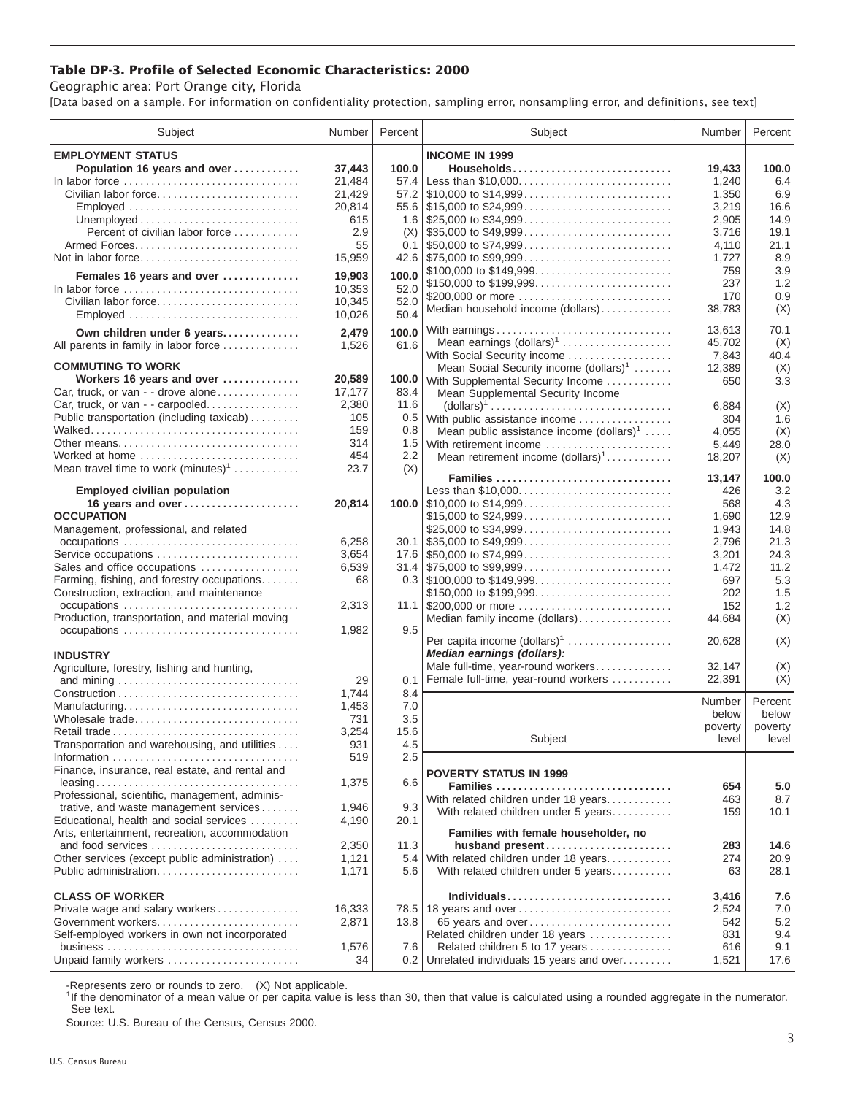## **Table DP-3. Profile of Selected Economic Characteristics: 2000**

Geographic area: Port Orange city, Florida

[Data based on a sample. For information on confidentiality protection, sampling error, nonsampling error, and definitions, see text]

| Subject                                         | Number      | Percent          | Subject                                                                                                                     | Number       | Percent     |
|-------------------------------------------------|-------------|------------------|-----------------------------------------------------------------------------------------------------------------------------|--------------|-------------|
| <b>EMPLOYMENT STATUS</b>                        |             |                  | <b>INCOME IN 1999</b>                                                                                                       |              |             |
| Population 16 years and over                    | 37,443      | 100.0            | Households                                                                                                                  | 19.433       | 100.0       |
| In labor force                                  | 21,484      | 57.4             | Less than \$10,000                                                                                                          | 1,240        | 6.4         |
| Civilian labor force                            | 21,429      |                  |                                                                                                                             | 1,350        | 6.9         |
| Employed                                        | 20,814      |                  |                                                                                                                             | 3,219        | 16.6        |
|                                                 | 615         |                  |                                                                                                                             | 2,905        | 14.9        |
| Percent of civilian labor force                 | 2.9         | (X)              |                                                                                                                             | 3,716        | 19.1        |
|                                                 | 55          |                  | $0.1$   \$50,000 to \$74,999                                                                                                | 4,110        | 21.1        |
| Not in labor force                              | 15,959      |                  |                                                                                                                             | 1,727        | 8.9         |
|                                                 | 19.903      | 100.0            | \$100,000 to \$149,999                                                                                                      | 759          | 3.9         |
| Females 16 years and over<br>In labor force     | 10,353      | 52.0             |                                                                                                                             | 237          | 1.2         |
| Civilian labor force                            | 10,345      | 52.0             | \$200,000 or more                                                                                                           | 170          | 0.9         |
| Employed                                        | 10,026      | 50.4             | Median household income (dollars)                                                                                           | 38,783       | (X)         |
|                                                 |             |                  |                                                                                                                             |              |             |
| Own children under 6 years                      | 2,479       | 100.0            |                                                                                                                             | 13,613       | 70.1        |
| All parents in family in labor force            | 1,526       | 61.6             | Mean earnings (dollars) <sup>1</sup>                                                                                        | 45,702       | (X)         |
| <b>COMMUTING TO WORK</b>                        |             |                  | With Social Security income                                                                                                 | 7,843        | 40.4        |
| Workers 16 years and over                       | 20,589      |                  | Mean Social Security income (dollars) <sup>1</sup><br>100.0 With Supplemental Security Income                               | 12,389       | (X)<br>3.3  |
| Car, truck, or van - - drove alone              | 17,177      | 83.4             |                                                                                                                             | 650          |             |
| Car, truck, or van - - carpooled                | 2,380       | 11.6             | Mean Supplemental Security Income<br>$\text{(dollars)}^1 \dots \dots \dots \dots \dots \dots \dots \dots \dots \dots \dots$ | 6,884        | (X)         |
| Public transportation (including taxicab)       | 105         | 0.5              | With public assistance income                                                                                               | 304          | 1.6         |
|                                                 | 159         | 0.8              | Mean public assistance income $(dollars)1 \ldots$ .                                                                         | 4,055        | (X)         |
|                                                 | 314         | 1.5              | With retirement income                                                                                                      | 5,449        | 28.0        |
| Worked at home                                  | 454         | $2.2\phantom{0}$ | Mean retirement income $(dollars)1$                                                                                         | 18,207       | (X)         |
| Mean travel time to work $(minutes)^1$          | 23.7        | (X)              |                                                                                                                             |              |             |
|                                                 |             |                  | Families                                                                                                                    | 13,147       | 100.0       |
| <b>Employed civilian population</b>             |             |                  | Less than \$10,000                                                                                                          | 426          | 3.2         |
| 16 years and over                               | 20,814      |                  |                                                                                                                             | 568          | 4.3         |
| <b>OCCUPATION</b>                               |             |                  | \$15,000 to \$24,999                                                                                                        | 1,690        | 12.9        |
| Management, professional, and related           |             |                  | \$25,000 to \$34,999                                                                                                        | 1,943        | 14.8        |
|                                                 | 6,258       |                  | $30.1$ \\$35,000 to \$49,999                                                                                                | 2,796        | 21.3        |
| Service occupations                             | 3,654       |                  |                                                                                                                             | 3,201        | 24.3        |
| Sales and office occupations                    | 6,539       |                  | $31.4$ \\ \$75,000 to \$99,999                                                                                              | 1,472        | 11.2        |
| Farming, fishing, and forestry occupations      | 68          |                  |                                                                                                                             | 697          | 5.3         |
| Construction, extraction, and maintenance       |             |                  | \$150,000 to \$199,999                                                                                                      | 202          | 1.5         |
|                                                 | 2,313       |                  | 11.1 $$200,000$ or more                                                                                                     | 152          | 1.2         |
| Production, transportation, and material moving |             |                  | Median family income (dollars)                                                                                              | 44,684       | (X)         |
| occupations                                     | 1,982       | 9.5              | Per capita income $(dollars)1$                                                                                              | 20,628       | (X)         |
| <b>INDUSTRY</b>                                 |             |                  | Median earnings (dollars):                                                                                                  |              |             |
| Agriculture, forestry, fishing and hunting,     |             |                  | Male full-time, year-round workers                                                                                          | 32,147       | (X)         |
|                                                 | 29          | 0.1              | Female full-time, year-round workers                                                                                        | 22,391       | (X)         |
|                                                 | 1,744       | 8.4              |                                                                                                                             |              |             |
| Manufacturing                                   | 1,453       | 7.0              |                                                                                                                             | Number       | Percent     |
| Wholesale trade                                 | 731         | 3.5              |                                                                                                                             | below        | below       |
|                                                 | 3,254       | 15.6             |                                                                                                                             | poverty      | poverty     |
| Transportation and warehousing, and utilities   | 931         | 4.5              | Subject                                                                                                                     | level        | level       |
|                                                 | 519         | 2.5              |                                                                                                                             |              |             |
| Finance, insurance, real estate, and rental and |             |                  | <b>POVERTY STATUS IN 1999</b>                                                                                               |              |             |
|                                                 | 1,375       | 6.6              | Families                                                                                                                    | 654          | 5.0         |
| Professional, scientific, management, adminis-  |             |                  | With related children under 18 years                                                                                        | 463          | 8.7         |
| trative, and waste management services          | 1,946       | 9.3              | With related children under 5 years                                                                                         | 159          | 10.1        |
| Educational, health and social services         | 4,190       | 20.1             |                                                                                                                             |              |             |
| Arts, entertainment, recreation, accommodation  |             |                  | Families with female householder, no                                                                                        |              |             |
| and food services                               | 2,350       | 11.3             | husband present                                                                                                             | 283          | 14.6        |
| Other services (except public administration)   | 1,121       | 5.4              | With related children under 18 years                                                                                        | 274          | 20.9        |
| Public administration                           | 1,171       | 5.6              | With related children under 5 years                                                                                         | 63           | 28.1        |
|                                                 |             |                  |                                                                                                                             |              |             |
| <b>CLASS OF WORKER</b>                          |             |                  | Individuals                                                                                                                 | 3,416        | 7.6         |
| Private wage and salary workers                 | 16,333      |                  | 78.5   18 years and over                                                                                                    | 2,524        | 7.0         |
| Government workers                              | 2,871       | 13.8             | 65 years and over                                                                                                           | 542          | 5.2         |
| Self-employed workers in own not incorporated   |             |                  | Related children under 18 years                                                                                             | 831          | 9.4         |
| Unpaid family workers                           | 1,576<br>34 | 7.6<br>0.2       | Related children 5 to 17 years<br>Unrelated individuals 15 years and over                                                   | 616<br>1,521 | 9.1<br>17.6 |
|                                                 |             |                  |                                                                                                                             |              |             |

-Represents zero or rounds to zero. (X) Not applicable.

<sup>1</sup>If the denominator of a mean value or per capita value is less than 30, then that value is calculated using a rounded aggregate in the numerator. See text.

Source: U.S. Bureau of the Census, Census 2000.